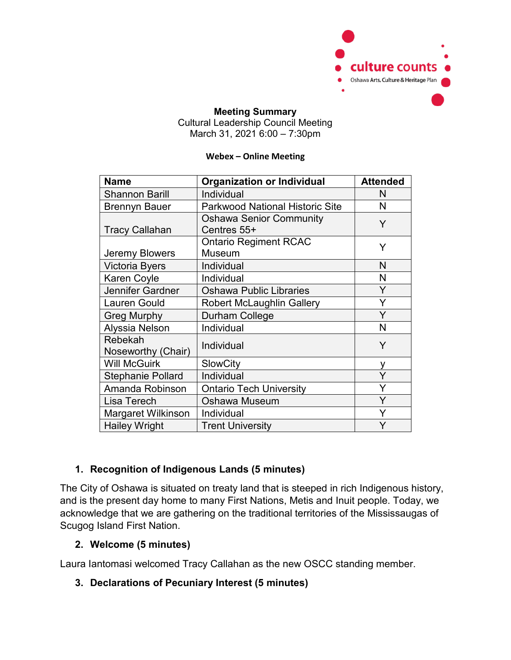

### **Meeting Summary** Cultural Leadership Council Meeting March 31, 2021 6:00 – 7:30pm

#### **Webex – Online Meeting**

| <b>Name</b>                   | <b>Organization or Individual</b>             | <b>Attended</b> |
|-------------------------------|-----------------------------------------------|-----------------|
| <b>Shannon Barill</b>         | Individual                                    | N               |
| <b>Brennyn Bauer</b>          | <b>Parkwood National Historic Site</b>        | N               |
| <b>Tracy Callahan</b>         | <b>Oshawa Senior Community</b><br>Centres 55+ | Y               |
| Jeremy Blowers                | <b>Ontario Regiment RCAC</b><br>Museum        | Y               |
| <b>Victoria Byers</b>         | Individual                                    | N               |
| <b>Karen Coyle</b>            | Individual                                    | N               |
| Jennifer Gardner              | <b>Oshawa Public Libraries</b>                | Y               |
| <b>Lauren Gould</b>           | <b>Robert McLaughlin Gallery</b>              | Y               |
| <b>Greg Murphy</b>            | Durham College                                | Y               |
| Alyssia Nelson                | Individual                                    | N               |
| Rebekah<br>Noseworthy (Chair) | Individual                                    | Y               |
| <b>Will McGuirk</b>           | <b>SlowCity</b>                               | у               |
| <b>Stephanie Pollard</b>      | Individual                                    | Ý               |
| Amanda Robinson               | <b>Ontario Tech University</b>                | Y               |
| Lisa Terech                   | Oshawa Museum                                 | Y               |
| Margaret Wilkinson            | Individual                                    | Y               |
| <b>Hailey Wright</b>          | <b>Trent University</b>                       | Y               |

# **1. Recognition of Indigenous Lands (5 minutes)**

The City of Oshawa is situated on treaty land that is steeped in rich Indigenous history, and is the present day home to many First Nations, Metis and Inuit people. Today, we acknowledge that we are gathering on the traditional territories of the Mississaugas of Scugog Island First Nation.

## **2. Welcome (5 minutes)**

Laura Iantomasi welcomed Tracy Callahan as the new OSCC standing member.

## **3. Declarations of Pecuniary Interest (5 minutes)**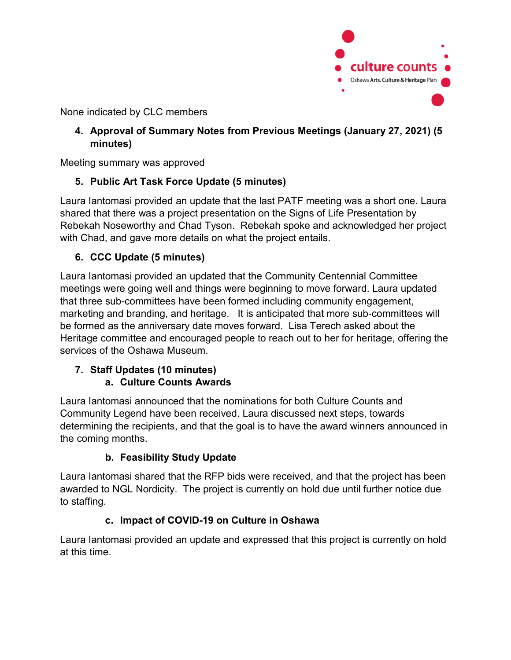

None indicated by CLC members

## **4. Approval of Summary Notes from Previous Meetings (January 27, 2021) (5 minutes)**

Meeting summary was approved

# **5. Public Art Task Force Update (5 minutes)**

Laura Iantomasi provided an update that the last PATF meeting was a short one. Laura shared that there was a project presentation on the Signs of Life Presentation by Rebekah Noseworthy and Chad Tyson. Rebekah spoke and acknowledged her project with Chad, and gave more details on what the project entails.

# **6. CCC Update (5 minutes)**

Laura Iantomasi provided an updated that the Community Centennial Committee meetings were going well and things were beginning to move forward. Laura updated that three sub-committees have been formed including community engagement, marketing and branding, and heritage. It is anticipated that more sub-committees will be formed as the anniversary date moves forward. Lisa Terech asked about the Heritage committee and encouraged people to reach out to her for heritage, offering the services of the Oshawa Museum.

### **7. Staff Updates (10 minutes) a. Culture Counts Awards**

Laura Iantomasi announced that the nominations for both Culture Counts and Community Legend have been received. Laura discussed next steps, towards determining the recipients, and that the goal is to have the award winners announced in the coming months.

# **b. Feasibility Study Update**

Laura Iantomasi shared that the RFP bids were received, and that the project has been awarded to NGL Nordicity. The project is currently on hold due until further notice due to staffing.

# **c. Impact of COVID-19 on Culture in Oshawa**

Laura Iantomasi provided an update and expressed that this project is currently on hold at this time.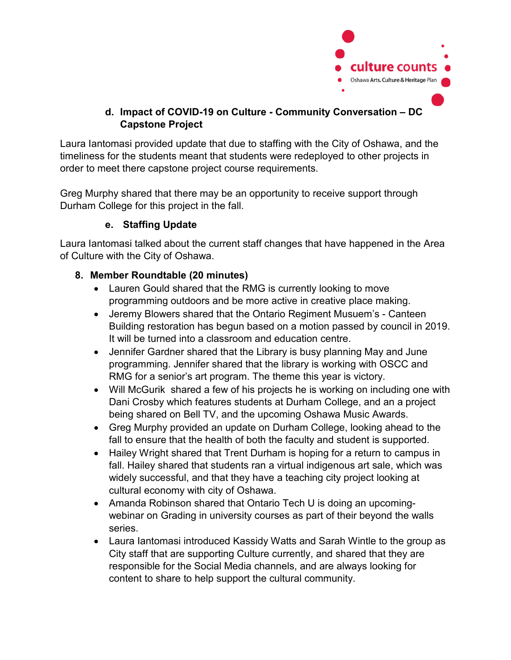

# **d. Impact of COVID-19 on Culture - Community Conversation – DC Capstone Project**

Laura Iantomasi provided update that due to staffing with the City of Oshawa, and the timeliness for the students meant that students were redeployed to other projects in order to meet there capstone project course requirements.

Greg Murphy shared that there may be an opportunity to receive support through Durham College for this project in the fall.

# **e. Staffing Update**

Laura Iantomasi talked about the current staff changes that have happened in the Area of Culture with the City of Oshawa.

## **8. Member Roundtable (20 minutes)**

- Lauren Gould shared that the RMG is currently looking to move programming outdoors and be more active in creative place making.
- Jeremy Blowers shared that the Ontario Regiment Musuem's Canteen Building restoration has begun based on a motion passed by council in 2019. It will be turned into a classroom and education centre.
- Jennifer Gardner shared that the Library is busy planning May and June programming. Jennifer shared that the library is working with OSCC and RMG for a senior's art program. The theme this year is victory.
- Will McGurik shared a few of his projects he is working on including one with Dani Crosby which features students at Durham College, and an a project being shared on Bell TV, and the upcoming Oshawa Music Awards.
- Greg Murphy provided an update on Durham College, looking ahead to the fall to ensure that the health of both the faculty and student is supported.
- Hailey Wright shared that Trent Durham is hoping for a return to campus in fall. Hailey shared that students ran a virtual indigenous art sale, which was widely successful, and that they have a teaching city project looking at cultural economy with city of Oshawa.
- Amanda Robinson shared that Ontario Tech U is doing an upcomingwebinar on Grading in university courses as part of their beyond the walls series.
- Laura lantomasi introduced Kassidy Watts and Sarah Wintle to the group as City staff that are supporting Culture currently, and shared that they are responsible for the Social Media channels, and are always looking for content to share to help support the cultural community.